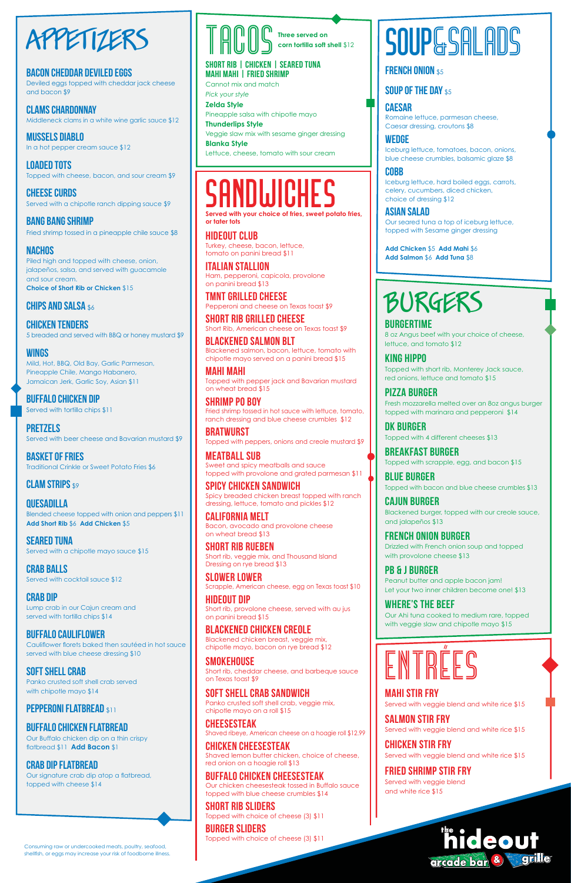

#### **Bacon Cheddar Deviled Eggs**

Deviled eggs topped with cheddar jack cheese and bacon \$9

**Clams Chardonnay** Middleneck clams in a white wine garlic sauce \$12

**Mussels Diablo** In a hot pepper cream sauce \$12

**Loaded Tots**  Topped with cheese, bacon, and sour cream \$9

**Cheese Curds** Served with a chipotle ranch dipping sauce \$9

**Bang Bang Shrimp**  Fried shrimp tossed in a pineapple chile sauce \$8

**Nachos**  Piled high and topped with cheese, onion, jalapeños, salsa, and served with guacamole and sour cream. **Choice of Short Rib or Chicken** \$15

#### **CHIPS AND SALSA \$6**

**crab balls**  Served with cocktail sauce \$12

**Chicken Tenders** 5 breaded and served with BBQ or honey mustard \$9

#### **Wings**

Mild, Hot, BBQ, Old Bay, Garlic Parmesan, Pineapple Chile, Mango Habanero, Jamaican Jerk, Garlic Soy, Asian \$11

**Buffalo Chicken Dip** Served with tortilla chips \$11

**Pretzels** Served with beer cheese and Bavarian mustard \$9

**Basket of Fries** Traditional Crinkle or Sweet Potato Fries \$6

#### **CLAM STRIPS \$9**

**Quesadilla** Blended cheese topped with onion and peppers \$11 **Add Short Rib** \$6 **Add Chicken** \$5

**Seared Tuna** Served with a chipotle mayo sauce \$15

**crab dip** Lump crab in our Cajun cream and served with tortilla chips \$14

**Buffalo Cauliflower**  Cauliflower florets baked then sautéed in hot sauce

served with blue cheese dressing \$10

#### **Soft Shell Crab**

Panko crusted soft shell crab served with chipotle mayo \$14

#### **Pepperoni flatbread** \$11

#### **Buffalo Chicken Flatbread**

Our Buffalo chicken dip on a thin crispy flatbread \$11 **Add Bacon** \$1

#### **Crab Dip Flatbread**

Our signature crab dip atop a flatbread, topped with cheese \$14



#### **Short Rib | Chicken | Seared Tuna Mahi Mahi | Fried shrimp**

Cannot mix and match *Pick your style*

**Zelda Style** Pineapple salsa with chipotle mayo **Thunderlips Style** Veggie slaw mix with sesame ginger dressing

**Blanka Style** Lettuce, cheese, tomato with sour cream

### **SANDWICHES**

**Served with your choice of fries, sweet potato fries, or tater tots**

**Hideout Club**  Turkey, cheese, bacon, lettuce, tomato on panini bread \$11

**Italian Stallion** Ham, pepperoni, capicola, provolone on panini bread \$13

**TMNT Grilled Cheese**  Pepperoni and cheese on Texas toast \$9

**Short Rib Grilled Cheese**  Short Rib, American cheese on Texas toast \$9

> **PB & J Burger** Peanut butter and apple bacon jam! Let your two inner children become one! \$13

**Blackened Salmon BLT**  Blackened salmon, bacon, lettuce, tomato with chipotle mayo served on a panini bread \$15

**Mahi Mahi** Topped with pepper jack and Bavarian mustard on wheat bread \$15

**Shrimp Po Boy** Fried shrimp tossed in hot sauce with lettuce, tomato,

ranch dressing and blue cheese crumbles \$12 **Bratwurst**

Topped with peppers, onions and creole mustard \$9

**Meatball Sub** Sweet and spicy meatballs and sauce topped with provolone and grated parmesan \$11

**Spicy Chicken Sandwich**  Spicy breaded chicken breast topped with ranch dressing, lettuce, tomato and pickles \$12

**California Melt** Bacon, avocado and provolone cheese on wheat bread \$13

**Short Rib Rueben**  Short rib, veggie mix, and Thousand Island Dressing on rye bread \$13

**Slower Lower**  Scrapple, American cheese, egg on Texas toast \$10

**Hideout Dip**  Short rib, provolone cheese, served with au jus on panini bread \$15

**Blackened Chicken Creole**  Blackened chicken breast, veggie mix, chipotle mayo, bacon on rye bread \$12

## **SOUP&SALADS**

#### **FRENCH ONION \$5**

#### **SOUP OF THE DAY \$5**

#### **Smokehouse**

Short rib, cheddar cheese, and barbeque sauce on Texas toast \$9

#### **Soft Shell Crab Sandwich**

Panko crusted soft shell crab, veggie mix, chipotle mayo on a roll \$15

#### **Cheesesteak**

Shaved ribeye, American cheese on a hoagie roll \$12.99

#### **chicken Cheesesteak**

Shaved lemon butter chicken, choice of cheese, red onion on a hoagie roll \$13

#### **Buffalo Chicken Cheesesteak**

Our chicken cheesesteak tossed in Buffalo sauce topped with blue cheese crumbles \$14

#### **Short Rib Sliders**

Topped with choice of cheese (3) \$11

#### **Burger sliders**

Topped with choice of cheese (3) \$11

### BURGERS

**Burgertime** 8 oz Angus beef with your choice of cheese, lettuce, and tomato \$12

**King Hippo** Topped with short rib, Monterey Jack sauce, red onions, lettuce and tomato \$15

**Pizza Burger**  Fresh mozzarella melted over an 8oz angus burger topped with marinara and pepperoni \$14

**DK Burger** Topped with 4 different cheeses \$13

**Breakfast Burger** Topped with scrapple, egg, and bacon \$15

**Blue Burger** Topped with bacon and blue cheese crumbles \$13

**Cajun Burger** Blackened burger, topped with our creole sauce, and jalapeños \$13

**French Onion Burger** Drizzled with French onion soup and topped with provolone cheese \$13

**Where's the Beef** Our Ahi tuna cooked to medium rare, topped with veggie slaw and chipotle mayo \$15



#### **Mahi Stir Fry**

Served with veggie blend and white rice \$15

#### **Salmon Stir Fry**

Served with veggie blend and white rice \$15

#### **Chicken Stir Fry**

Served with veggie blend and white rice \$15

#### **Fried Shrimp Stir Fry**

Served with veggie blend and white rice \$15



Consuming raw or undercooked meats, poultry, seafood, shellfish, or eggs may increase your risk of foodborne illness.

#### **Caesar**

Romaine lettuce, parmesan cheese, Caesar dressing, croutons \$8

#### **Wedge**

Iceburg lettuce, tomatoes, bacon, onions, blue cheese crumbles, balsamic glaze \$8

#### **Cobb**

Iceburg lettuce, hard boiled eggs, carrots, celery, cucumbers, diced chicken, choice of dressing \$12

#### **Asian Salad**

Our seared tuna a top of iceburg lettuce, topped with Sesame ginger dressing

**Add Chicken** \$5 **Add Mahi** \$6 **Add Salmon** \$6 **Add Tuna** \$8

**Three served on corn tortilla soft shell** \$12